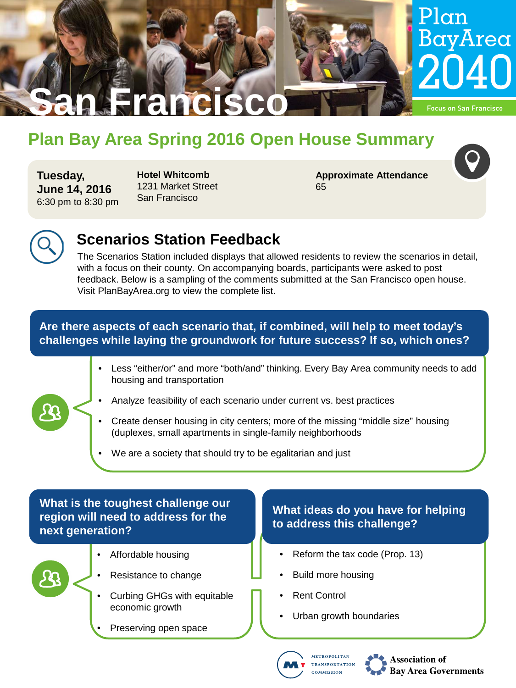

# **Plan Bay Area Spring 2016 Open House Summary**

**Tuesday, June 14, 2016** 6:30 pm to 8:30 pm **Hotel Whitcomb**  1231 Market Street San Francisco

**Approximate Attendance** 65



# **Scenarios Station Feedback**

The Scenarios Station included displays that allowed residents to review the scenarios in detail, with a focus on their county. On accompanying boards, participants were asked to post feedback. Below is a sampling of the comments submitted at the San Francisco open house. Visit PlanBayArea.org to view the complete list.

### **Are there aspects of each scenario that, if combined, will help to meet today's challenges while laying the groundwork for future success? If so, which ones?**

- Less "either/or" and more "both/and" thinking. Every Bay Area community needs to add housing and transportation
- Analyze feasibility of each scenario under current vs. best practices
- Create denser housing in city centers; more of the missing "middle size" housing (duplexes, small apartments in single-family neighborhoods
- We are a society that should try to be egalitarian and just

### **What is the toughest challenge our region will need to address for the next generation?**



- Affordable housing
- Resistance to change
- Curbing GHGs with equitable economic growth
- Preserving open space

### **What ideas do you have for helping to address this challenge?**

- Reform the tax code (Prop. 13)
- Build more housing
- **Rent Control**
- Urban growth boundaries



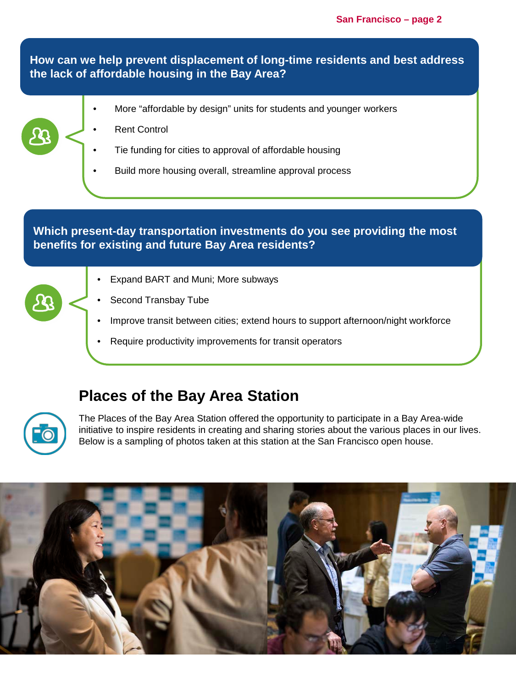**How can we help prevent displacement of long-time residents and best address the lack of affordable housing in the Bay Area?**

- More "affordable by design" units for students and younger workers
- **Rent Control**
- Tie funding for cities to approval of affordable housing
- Build more housing overall, streamline approval process

#### **Which present-day transportation investments do you see providing the most benefits for existing and future Bay Area residents?**

- Expand BART and Muni; More subways
- Second Transbay Tube
- Improve transit between cities; extend hours to support afternoon/night workforce
- Require productivity improvements for transit operators

### **Places of the Bay Area Station**



The Places of the Bay Area Station offered the opportunity to participate in a Bay Area-wide initiative to inspire residents in creating and sharing stories about the various places in our lives. Below is a sampling of photos taken at this station at the San Francisco open house.

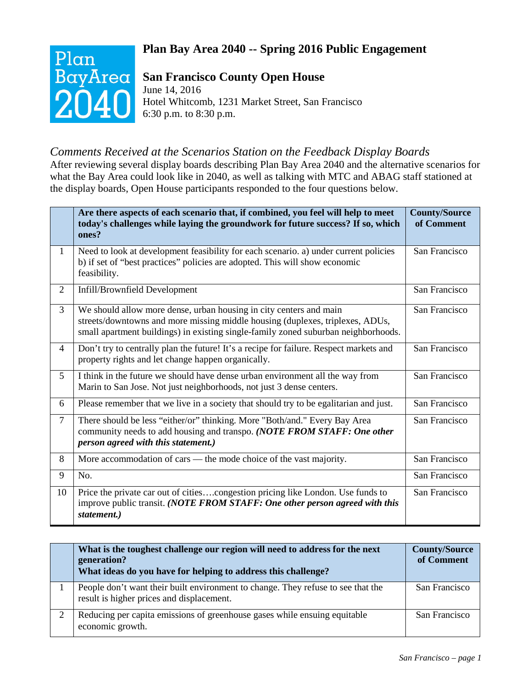### **Plan Bay Area 2040 -- Spring 2016 Public Engagement**



### **San Francisco County Open House**

June 14, 2016 Hotel Whitcomb, 1231 Market Street, San Francisco 6:30 p.m. to 8:30 p.m.

### *Comments Received at the Scenarios Station on the Feedback Display Boards*

After reviewing several display boards describing Plan Bay Area 2040 and the alternative scenarios for what the Bay Area could look like in 2040, as well as talking with MTC and ABAG staff stationed at the display boards, Open House participants responded to the four questions below.

|                | Are there aspects of each scenario that, if combined, you feel will help to meet<br>today's challenges while laying the groundwork for future success? If so, which<br>ones?                                                              | <b>County/Source</b><br>of Comment |
|----------------|-------------------------------------------------------------------------------------------------------------------------------------------------------------------------------------------------------------------------------------------|------------------------------------|
| $\mathbf{1}$   | Need to look at development feasibility for each scenario. a) under current policies<br>b) if set of "best practices" policies are adopted. This will show economic<br>feasibility.                                                       | San Francisco                      |
| $\overline{2}$ | Infill/Brownfield Development                                                                                                                                                                                                             | San Francisco                      |
| 3              | We should allow more dense, urban housing in city centers and main<br>streets/downtowns and more missing middle housing (duplexes, triplexes, ADUs,<br>small apartment buildings) in existing single-family zoned suburban neighborhoods. | San Francisco                      |
| 4              | Don't try to centrally plan the future! It's a recipe for failure. Respect markets and<br>property rights and let change happen organically.                                                                                              | San Francisco                      |
| 5              | I think in the future we should have dense urban environment all the way from<br>Marin to San Jose. Not just neighborhoods, not just 3 dense centers.                                                                                     | San Francisco                      |
| 6              | Please remember that we live in a society that should try to be egalitarian and just.                                                                                                                                                     | San Francisco                      |
| $\overline{7}$ | There should be less "either/or" thinking. More "Both/and." Every Bay Area<br>community needs to add housing and transpo. (NOTE FROM STAFF: One other<br>person agreed with this statement.)                                              | San Francisco                      |
| 8              | More accommodation of cars — the mode choice of the vast majority.                                                                                                                                                                        | San Francisco                      |
| 9              | No.                                                                                                                                                                                                                                       | San Francisco                      |
| 10             | Price the private car out of citiescongestion pricing like London. Use funds to<br>improve public transit. (NOTE FROM STAFF: One other person agreed with this<br>statement.)                                                             | San Francisco                      |

|   | What is the toughest challenge our region will need to address for the next<br>generation?<br>What ideas do you have for helping to address this challenge? | <b>County/Source</b><br>of Comment |
|---|-------------------------------------------------------------------------------------------------------------------------------------------------------------|------------------------------------|
|   | People don't want their built environment to change. They refuse to see that the<br>result is higher prices and displacement.                               | San Francisco                      |
| ◠ | Reducing per capita emissions of greenhouse gases while ensuing equitable<br>economic growth.                                                               | San Francisco                      |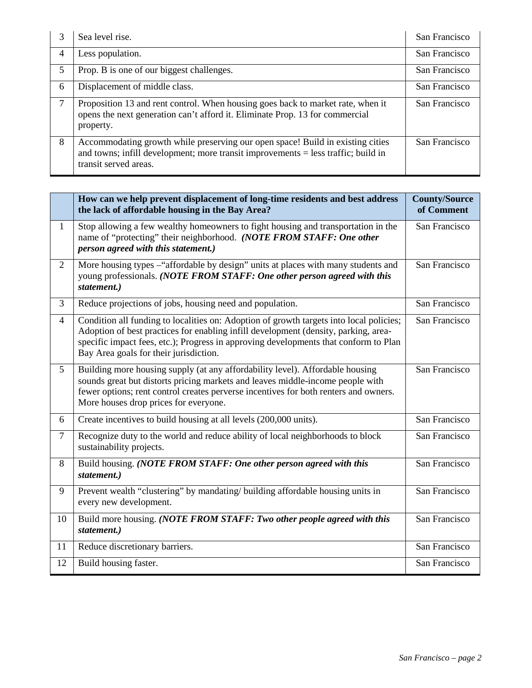| 3 | Sea level rise.                                                                                                                                                                                | San Francisco |
|---|------------------------------------------------------------------------------------------------------------------------------------------------------------------------------------------------|---------------|
| 4 | Less population.                                                                                                                                                                               | San Francisco |
| 5 | Prop. B is one of our biggest challenges.                                                                                                                                                      | San Francisco |
| 6 | Displacement of middle class.                                                                                                                                                                  | San Francisco |
| 7 | Proposition 13 and rent control. When housing goes back to market rate, when it<br>opens the next generation can't afford it. Eliminate Prop. 13 for commercial<br>property.                   | San Francisco |
| 8 | Accommodating growth while preserving our open space! Build in existing cities<br>and towns; infill development; more transit improvements $=$ less traffic; build in<br>transit served areas. | San Francisco |

|                | How can we help prevent displacement of long-time residents and best address<br>the lack of affordable housing in the Bay Area?                                                                                                                                                                                  | <b>County/Source</b><br>of Comment |
|----------------|------------------------------------------------------------------------------------------------------------------------------------------------------------------------------------------------------------------------------------------------------------------------------------------------------------------|------------------------------------|
| $\mathbf{1}$   | Stop allowing a few wealthy homeowners to fight housing and transportation in the<br>name of "protecting" their neighborhood. (NOTE FROM STAFF: One other<br>person agreed with this statement.)                                                                                                                 | San Francisco                      |
| $\overline{2}$ | More housing types - "affordable by design" units at places with many students and<br>young professionals. (NOTE FROM STAFF: One other person agreed with this<br>statement.)                                                                                                                                    | San Francisco                      |
| 3              | Reduce projections of jobs, housing need and population.                                                                                                                                                                                                                                                         | San Francisco                      |
| $\overline{4}$ | Condition all funding to localities on: Adoption of growth targets into local policies;<br>Adoption of best practices for enabling infill development (density, parking, area-<br>specific impact fees, etc.); Progress in approving developments that conform to Plan<br>Bay Area goals for their jurisdiction. | San Francisco                      |
| 5              | Building more housing supply (at any affordability level). Affordable housing<br>sounds great but distorts pricing markets and leaves middle-income people with<br>fewer options; rent control creates perverse incentives for both renters and owners.<br>More houses drop prices for everyone.                 | San Francisco                      |
| 6              | Create incentives to build housing at all levels (200,000 units).                                                                                                                                                                                                                                                | San Francisco                      |
| $\tau$         | Recognize duty to the world and reduce ability of local neighborhoods to block<br>sustainability projects.                                                                                                                                                                                                       | San Francisco                      |
| 8              | Build housing. (NOTE FROM STAFF: One other person agreed with this<br>statement.)                                                                                                                                                                                                                                | San Francisco                      |
| 9              | Prevent wealth "clustering" by mandating/ building affordable housing units in<br>every new development.                                                                                                                                                                                                         | San Francisco                      |
| 10             | Build more housing. (NOTE FROM STAFF: Two other people agreed with this<br>statement.)                                                                                                                                                                                                                           | San Francisco                      |
| 11             | Reduce discretionary barriers.                                                                                                                                                                                                                                                                                   | San Francisco                      |
| 12             | Build housing faster.                                                                                                                                                                                                                                                                                            | San Francisco                      |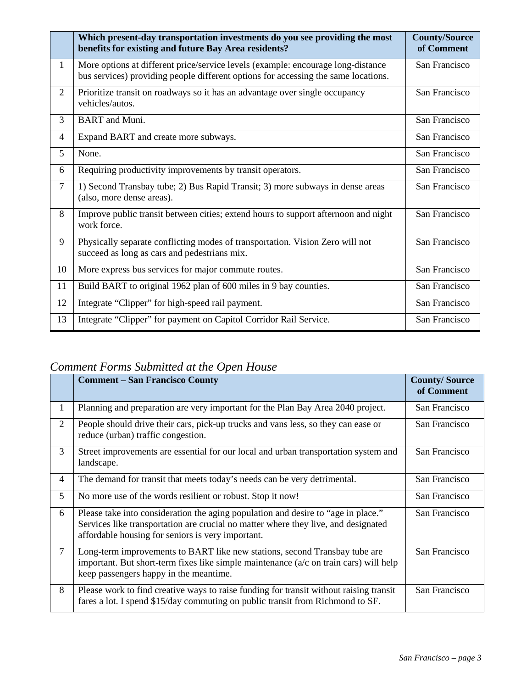|                | Which present-day transportation investments do you see providing the most<br>benefits for existing and future Bay Area residents?                                     | <b>County/Source</b><br>of Comment |
|----------------|------------------------------------------------------------------------------------------------------------------------------------------------------------------------|------------------------------------|
| $\mathbf{1}$   | More options at different price/service levels (example: encourage long-distance<br>bus services) providing people different options for accessing the same locations. | San Francisco                      |
| $\overline{2}$ | Prioritize transit on roadways so it has an advantage over single occupancy<br>vehicles/autos.                                                                         | San Francisco                      |
| 3              | <b>BART</b> and Muni.                                                                                                                                                  | San Francisco                      |
| 4              | Expand BART and create more subways.                                                                                                                                   | San Francisco                      |
| 5              | None.                                                                                                                                                                  | San Francisco                      |
| 6              | Requiring productivity improvements by transit operators.                                                                                                              | San Francisco                      |
| $\overline{7}$ | 1) Second Transbay tube; 2) Bus Rapid Transit; 3) more subways in dense areas<br>(also, more dense areas).                                                             | San Francisco                      |
| 8              | Improve public transit between cities; extend hours to support afternoon and night<br>work force.                                                                      | San Francisco                      |
| 9              | Physically separate conflicting modes of transportation. Vision Zero will not<br>succeed as long as cars and pedestrians mix.                                          | San Francisco                      |
| 10             | More express bus services for major commute routes.                                                                                                                    | San Francisco                      |
| 11             | Build BART to original 1962 plan of 600 miles in 9 bay counties.                                                                                                       | San Francisco                      |
| 12             | Integrate "Clipper" for high-speed rail payment.                                                                                                                       | San Francisco                      |
| 13             | Integrate "Clipper" for payment on Capitol Corridor Rail Service.                                                                                                      | San Francisco                      |

## *Comment Forms Submitted at the Open House*

|                | <b>Comment – San Francisco County</b>                                                                                                                                                                                        | <b>County/Source</b><br>of Comment |
|----------------|------------------------------------------------------------------------------------------------------------------------------------------------------------------------------------------------------------------------------|------------------------------------|
| 1              | Planning and preparation are very important for the Plan Bay Area 2040 project.                                                                                                                                              | San Francisco                      |
| 2              | People should drive their cars, pick-up trucks and vans less, so they can ease or<br>reduce (urban) traffic congestion.                                                                                                      | San Francisco                      |
| 3              | Street improvements are essential for our local and urban transportation system and<br>landscape.                                                                                                                            | San Francisco                      |
| 4              | The demand for transit that meets today's needs can be very detrimental.                                                                                                                                                     | San Francisco                      |
| 5              | No more use of the words resilient or robust. Stop it now!                                                                                                                                                                   | San Francisco                      |
| 6              | Please take into consideration the aging population and desire to "age in place."<br>Services like transportation are crucial no matter where they live, and designated<br>affordable housing for seniors is very important. | San Francisco                      |
| $\overline{7}$ | Long-term improvements to BART like new stations, second Transbay tube are<br>important. But short-term fixes like simple maintenance $(a/c$ on train cars) will help<br>keep passengers happy in the meantime.              | San Francisco                      |
| 8              | Please work to find creative ways to raise funding for transit without raising transit<br>fares a lot. I spend \$15/day commuting on public transit from Richmond to SF.                                                     | San Francisco                      |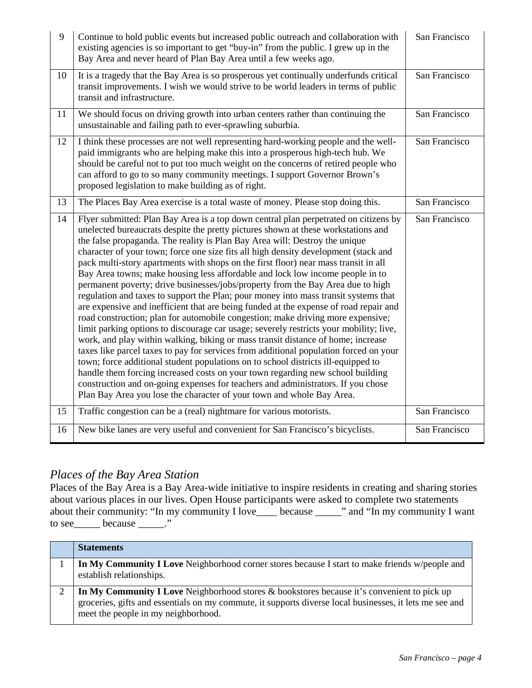| 9  | Continue to hold public events but increased public outreach and collaboration with<br>existing agencies is so important to get "buy-in" from the public. I grew up in the<br>Bay Area and never heard of Plan Bay Area until a few weeks ago.                                                                                                                                                                                                                                                                                                                                                                                                                                                                                                                                                                                                                                                                                                                                                                                                                                                                                                                                                                                                                                                                                                                                                                                                                                           | San Francisco |
|----|------------------------------------------------------------------------------------------------------------------------------------------------------------------------------------------------------------------------------------------------------------------------------------------------------------------------------------------------------------------------------------------------------------------------------------------------------------------------------------------------------------------------------------------------------------------------------------------------------------------------------------------------------------------------------------------------------------------------------------------------------------------------------------------------------------------------------------------------------------------------------------------------------------------------------------------------------------------------------------------------------------------------------------------------------------------------------------------------------------------------------------------------------------------------------------------------------------------------------------------------------------------------------------------------------------------------------------------------------------------------------------------------------------------------------------------------------------------------------------------|---------------|
| 10 | It is a tragedy that the Bay Area is so prosperous yet continually underfunds critical<br>transit improvements. I wish we would strive to be world leaders in terms of public<br>transit and infrastructure.                                                                                                                                                                                                                                                                                                                                                                                                                                                                                                                                                                                                                                                                                                                                                                                                                                                                                                                                                                                                                                                                                                                                                                                                                                                                             | San Francisco |
| 11 | We should focus on driving growth into urban centers rather than continuing the<br>unsustainable and failing path to ever-sprawling suburbia.                                                                                                                                                                                                                                                                                                                                                                                                                                                                                                                                                                                                                                                                                                                                                                                                                                                                                                                                                                                                                                                                                                                                                                                                                                                                                                                                            | San Francisco |
| 12 | I think these processes are not well representing hard-working people and the well-<br>paid immigrants who are helping make this into a prosperous high-tech hub. We<br>should be careful not to put too much weight on the concerns of retired people who<br>can afford to go to so many community meetings. I support Governor Brown's<br>proposed legislation to make building as of right.                                                                                                                                                                                                                                                                                                                                                                                                                                                                                                                                                                                                                                                                                                                                                                                                                                                                                                                                                                                                                                                                                           | San Francisco |
| 13 | The Places Bay Area exercise is a total waste of money. Please stop doing this.                                                                                                                                                                                                                                                                                                                                                                                                                                                                                                                                                                                                                                                                                                                                                                                                                                                                                                                                                                                                                                                                                                                                                                                                                                                                                                                                                                                                          | San Francisco |
| 14 | Flyer submitted: Plan Bay Area is a top down central plan perpetrated on citizens by<br>unelected bureaucrats despite the pretty pictures shown at these workstations and<br>the false propaganda. The reality is Plan Bay Area will: Destroy the unique<br>character of your town; force one size fits all high density development (stack and<br>pack multi-story apartments with shops on the first floor) near mass transit in all<br>Bay Area towns; make housing less affordable and lock low income people in to<br>permanent poverty; drive businesses/jobs/property from the Bay Area due to high<br>regulation and taxes to support the Plan; pour money into mass transit systems that<br>are expensive and inefficient that are being funded at the expense of road repair and<br>road construction; plan for automobile congestion; make driving more expensive;<br>limit parking options to discourage car usage; severely restricts your mobility; live,<br>work, and play within walking, biking or mass transit distance of home; increase<br>taxes like parcel taxes to pay for services from additional population forced on your<br>town; force additional student populations on to school districts ill-equipped to<br>handle them forcing increased costs on your town regarding new school building<br>construction and on-going expenses for teachers and administrators. If you chose<br>Plan Bay Area you lose the character of your town and whole Bay Area. | San Francisco |
| 15 | Traffic congestion can be a (real) nightmare for various motorists.                                                                                                                                                                                                                                                                                                                                                                                                                                                                                                                                                                                                                                                                                                                                                                                                                                                                                                                                                                                                                                                                                                                                                                                                                                                                                                                                                                                                                      | San Francisco |
| 16 | New bike lanes are very useful and convenient for San Francisco's bicyclists.                                                                                                                                                                                                                                                                                                                                                                                                                                                                                                                                                                                                                                                                                                                                                                                                                                                                                                                                                                                                                                                                                                                                                                                                                                                                                                                                                                                                            | San Francisco |

### *Places of the Bay Area Station*

Places of the Bay Area is a Bay Area-wide initiative to inspire residents in creating and sharing stories about various places in our lives. Open House participants were asked to complete two statements about their community: "In my community I love\_\_\_\_ because \_\_\_\_\_" and "In my community I want to see  $\_\_\_\_\$ because  $\_\_\_\$ ."

| <b>Statements</b>                                                                                                                                                                                                                            |
|----------------------------------------------------------------------------------------------------------------------------------------------------------------------------------------------------------------------------------------------|
| In My Community I Love Neighborhood corner stores because I start to make friends w/people and<br>establish relationships.                                                                                                                   |
| In My Community I Love Neighborhood stores & bookstores because it's convenient to pick up<br>groceries, gifts and essentials on my commute, it supports diverse local businesses, it lets me see and<br>meet the people in my neighborhood. |